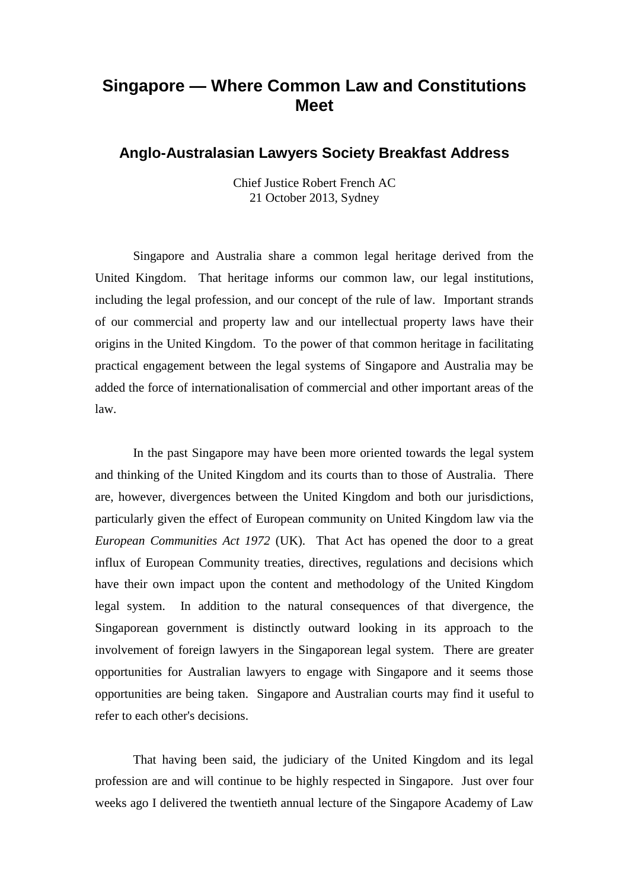## **Singapore — Where Common Law and Constitutions Meet**

## **Anglo-Australasian Lawyers Society Breakfast Address**

Chief Justice Robert French AC 21 October 2013, Sydney

Singapore and Australia share a common legal heritage derived from the United Kingdom. That heritage informs our common law, our legal institutions, including the legal profession, and our concept of the rule of law. Important strands of our commercial and property law and our intellectual property laws have their origins in the United Kingdom. To the power of that common heritage in facilitating practical engagement between the legal systems of Singapore and Australia may be added the force of internationalisation of commercial and other important areas of the law.

In the past Singapore may have been more oriented towards the legal system and thinking of the United Kingdom and its courts than to those of Australia. There are, however, divergences between the United Kingdom and both our jurisdictions, particularly given the effect of European community on United Kingdom law via the *European Communities Act 1972* (UK). That Act has opened the door to a great influx of European Community treaties, directives, regulations and decisions which have their own impact upon the content and methodology of the United Kingdom legal system. In addition to the natural consequences of that divergence, the Singaporean government is distinctly outward looking in its approach to the involvement of foreign lawyers in the Singaporean legal system. There are greater opportunities for Australian lawyers to engage with Singapore and it seems those opportunities are being taken. Singapore and Australian courts may find it useful to refer to each other's decisions.

That having been said, the judiciary of the United Kingdom and its legal profession are and will continue to be highly respected in Singapore. Just over four weeks ago I delivered the twentieth annual lecture of the Singapore Academy of Law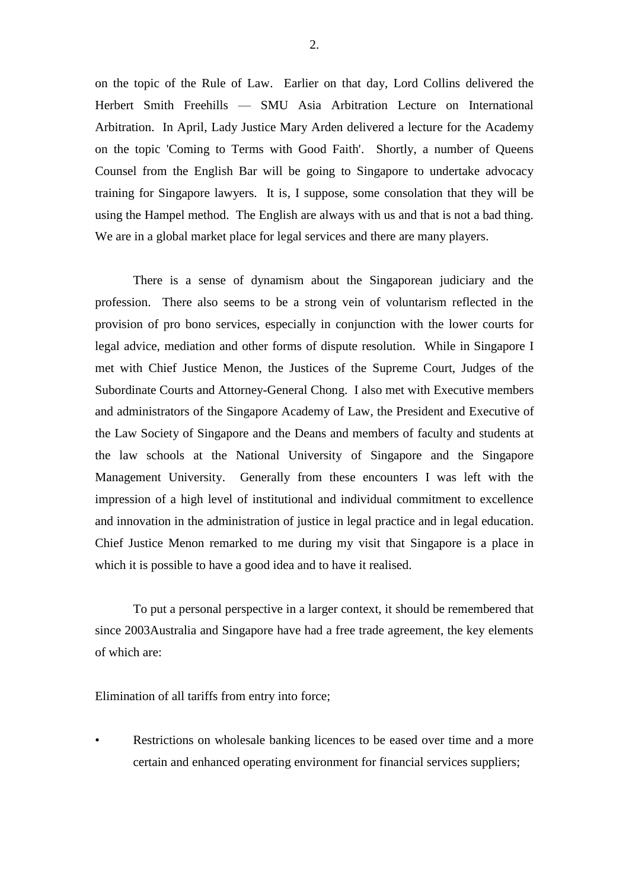on the topic of the Rule of Law. Earlier on that day, Lord Collins delivered the Herbert Smith Freehills — SMU Asia Arbitration Lecture on International Arbitration. In April, Lady Justice Mary Arden delivered a lecture for the Academy on the topic 'Coming to Terms with Good Faith'. Shortly, a number of Queens Counsel from the English Bar will be going to Singapore to undertake advocacy training for Singapore lawyers. It is, I suppose, some consolation that they will be using the Hampel method. The English are always with us and that is not a bad thing. We are in a global market place for legal services and there are many players.

There is a sense of dynamism about the Singaporean judiciary and the profession. There also seems to be a strong vein of voluntarism reflected in the provision of pro bono services, especially in conjunction with the lower courts for legal advice, mediation and other forms of dispute resolution.While in Singapore I met with Chief Justice Menon, the Justices of the Supreme Court, Judges of the Subordinate Courts and Attorney-General Chong. I also met with Executive members and administrators of the Singapore Academy of Law, the President and Executive of the Law Society of Singapore and the Deans and members of faculty and students at the law schools at the National University of Singapore and the Singapore Management University. Generally from these encounters I was left with the impression of a high level of institutional and individual commitment to excellence and innovation in the administration of justice in legal practice and in legal education. Chief Justice Menon remarked to me during my visit that Singapore is a place in which it is possible to have a good idea and to have it realised.

To put a personal perspective in a larger context, it should be remembered that since 2003Australia and Singapore have had a free trade agreement, the key elements of which are:

Elimination of all tariffs from entry into force;

Restrictions on wholesale banking licences to be eased over time and a more certain and enhanced operating environment for financial services suppliers;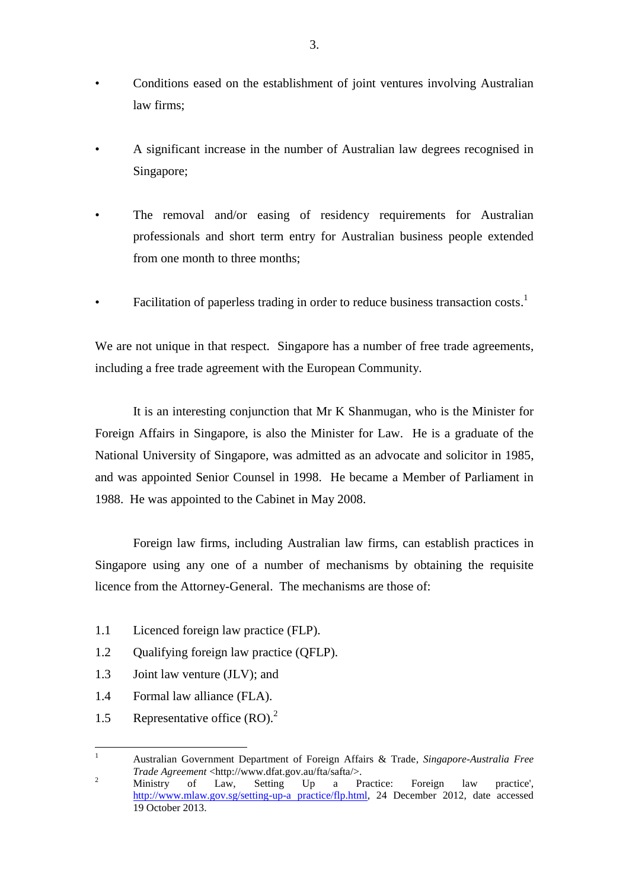- Conditions eased on the establishment of joint ventures involving Australian law firms;
- A significant increase in the number of Australian law degrees recognised in Singapore;
- The removal and/or easing of residency requirements for Australian professionals and short term entry for Australian business people extended from one month to three months;
- Facilitation of paperless trading in order to reduce business transaction costs.<sup>1</sup>

We are not unique in that respect. Singapore has a number of free trade agreements, including a free trade agreement with the European Community.

It is an interesting conjunction that Mr K Shanmugan, who is the Minister for Foreign Affairs in Singapore, is also the Minister for Law. He is a graduate of the National University of Singapore, was admitted as an advocate and solicitor in 1985, and was appointed Senior Counsel in 1998. He became a Member of Parliament in 1988. He was appointed to the Cabinet in May 2008.

Foreign law firms, including Australian law firms, can establish practices in Singapore using any one of a number of mechanisms by obtaining the requisite licence from the Attorney-General. The mechanisms are those of:

- 1.1 Licenced foreign law practice (FLP).
- 1.2 Qualifying foreign law practice (QFLP).
- 1.3 Joint law venture (JLV); and
- 1.4 Formal law alliance (FLA).
- 1.5 Representative office (RO).<sup>2</sup>

 $\mathbf{1}$ <sup>1</sup> Australian Government Department of Foreign Affairs & Trade, *Singapore-Australia Free Trade Agreement* <http://www.dfat.gov.au/fta/safta/>.

<sup>&</sup>lt;sup>2</sup> Ministry of Law, Setting Up a Practice: Foreign law practice', [http://www.mlaw.gov.sg/setting-up-a practice/flp.html,](http://www.mlaw.gov.sg/setting-up-a%20practice/flp.html) 24 December 2012, date accessed 19 October 2013.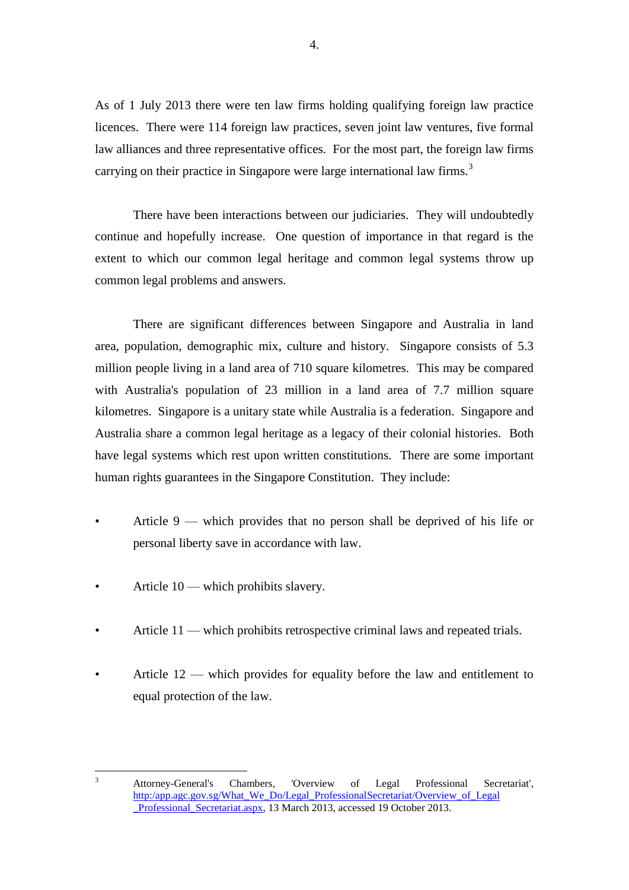As of 1 July 2013 there were ten law firms holding qualifying foreign law practice licences. There were 114 foreign law practices, seven joint law ventures, five formal law alliances and three representative offices. For the most part, the foreign law firms carrying on their practice in Singapore were large international law firms.<sup>3</sup>

There have been interactions between our judiciaries. They will undoubtedly continue and hopefully increase. One question of importance in that regard is the extent to which our common legal heritage and common legal systems throw up common legal problems and answers.

There are significant differences between Singapore and Australia in land area, population, demographic mix, culture and history. Singapore consists of 5.3 million people living in a land area of 710 square kilometres. This may be compared with Australia's population of 23 million in a land area of 7.7 million square kilometres. Singapore is a unitary state while Australia is a federation. Singapore and Australia share a common legal heritage as a legacy of their colonial histories. Both have legal systems which rest upon written constitutions. There are some important human rights guarantees in the Singapore Constitution. They include:

- Article 9 which provides that no person shall be deprived of his life or personal liberty save in accordance with law.
- Article 10 which prohibits slavery.
- Article 11 which prohibits retrospective criminal laws and repeated trials.
- Article  $12$  which provides for equality before the law and entitlement to equal protection of the law.

 $\overline{3}$ <sup>3</sup> Attorney-General's Chambers, 'Overview of Legal Professional Secretariat', http:/app.agc.gov.sg/What\_We\_Do/Legal\_ProfessionalSecretariat/Overview\_of\_Legal\_ Professional Secretariat.aspx, 13 March 2013, accessed 19 October 2013.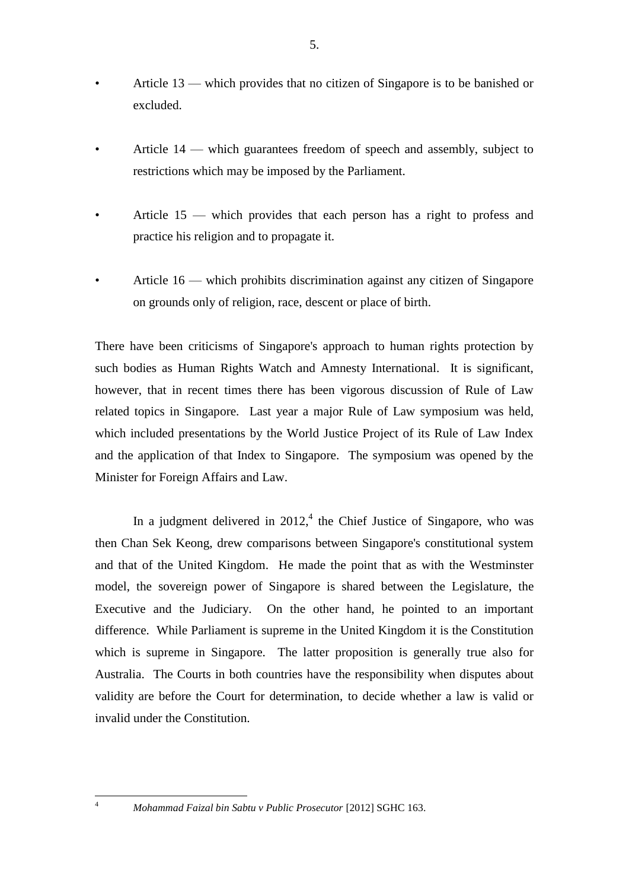- Article 13 which provides that no citizen of Singapore is to be banished or excluded.
- Article 14 which guarantees freedom of speech and assembly, subject to restrictions which may be imposed by the Parliament.
- Article 15 which provides that each person has a right to profess and practice his religion and to propagate it.
- Article 16 which prohibits discrimination against any citizen of Singapore on grounds only of religion, race, descent or place of birth.

There have been criticisms of Singapore's approach to human rights protection by such bodies as Human Rights Watch and Amnesty International. It is significant, however, that in recent times there has been vigorous discussion of Rule of Law related topics in Singapore. Last year a major Rule of Law symposium was held, which included presentations by the World Justice Project of its Rule of Law Index and the application of that Index to Singapore. The symposium was opened by the Minister for Foreign Affairs and Law.

In a judgment delivered in  $2012<sup>4</sup>$ , the Chief Justice of Singapore, who was then Chan Sek Keong, drew comparisons between Singapore's constitutional system and that of the United Kingdom. He made the point that as with the Westminster model, the sovereign power of Singapore is shared between the Legislature, the Executive and the Judiciary. On the other hand, he pointed to an important difference. While Parliament is supreme in the United Kingdom it is the Constitution which is supreme in Singapore. The latter proposition is generally true also for Australia. The Courts in both countries have the responsibility when disputes about validity are before the Court for determination, to decide whether a law is valid or invalid under the Constitution.

1

<sup>4</sup> *Mohammad Faizal bin Sabtu v Public Prosecutor* [2012] SGHC 163.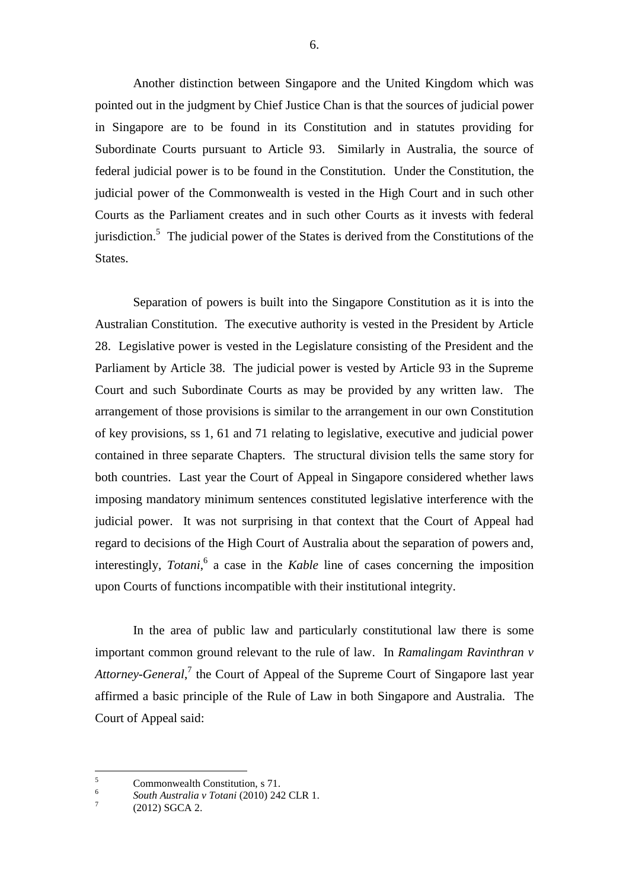Another distinction between Singapore and the United Kingdom which was pointed out in the judgment by Chief Justice Chan is that the sources of judicial power in Singapore are to be found in its Constitution and in statutes providing for Subordinate Courts pursuant to Article 93. Similarly in Australia, the source of federal judicial power is to be found in the Constitution. Under the Constitution, the judicial power of the Commonwealth is vested in the High Court and in such other Courts as the Parliament creates and in such other Courts as it invests with federal jurisdiction.<sup>5</sup> The judicial power of the States is derived from the Constitutions of the States.

Separation of powers is built into the Singapore Constitution as it is into the Australian Constitution. The executive authority is vested in the President by Article 28. Legislative power is vested in the Legislature consisting of the President and the Parliament by Article 38. The judicial power is vested by Article 93 in the Supreme Court and such Subordinate Courts as may be provided by any written law. The arrangement of those provisions is similar to the arrangement in our own Constitution of key provisions, ss 1, 61 and 71 relating to legislative, executive and judicial power contained in three separate Chapters. The structural division tells the same story for both countries. Last year the Court of Appeal in Singapore considered whether laws imposing mandatory minimum sentences constituted legislative interference with the judicial power. It was not surprising in that context that the Court of Appeal had regard to decisions of the High Court of Australia about the separation of powers and, interestingly, *Totani*, 6 a case in the *Kable* line of cases concerning the imposition upon Courts of functions incompatible with their institutional integrity.

In the area of public law and particularly constitutional law there is some important common ground relevant to the rule of law. In *Ramalingam Ravinthran v*  Attorney-General,<sup>7</sup> the Court of Appeal of the Supreme Court of Singapore last year affirmed a basic principle of the Rule of Law in both Singapore and Australia. The Court of Appeal said:

<u>.</u>

<sup>5</sup> Commonwealth Constitution, s 71.

<sup>6</sup> *South Australia v Totani* (2010) 242 CLR 1.

<sup>7</sup> (2012) SGCA 2.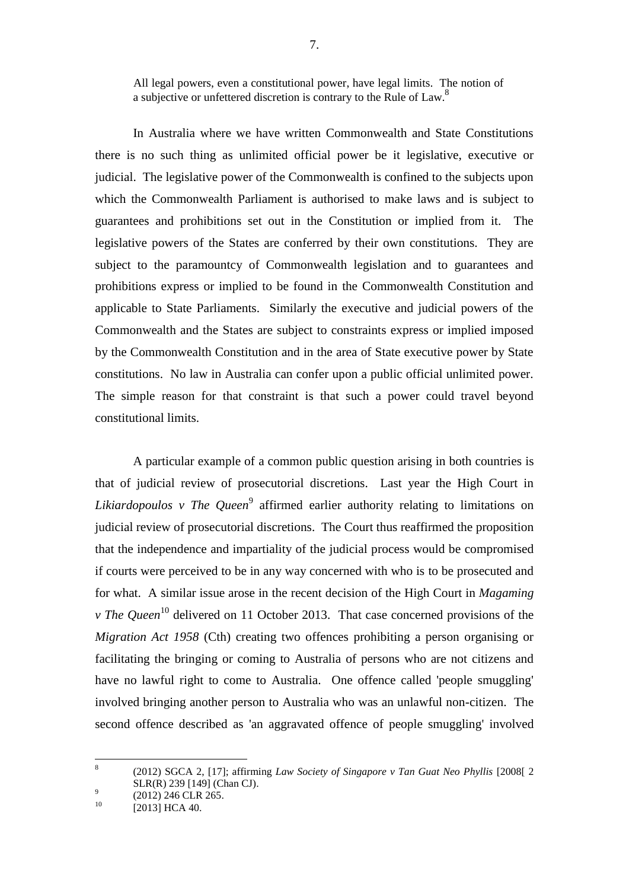All legal powers, even a constitutional power, have legal limits. The notion of a subjective or unfettered discretion is contrary to the Rule of Law.<sup>8</sup>

In Australia where we have written Commonwealth and State Constitutions there is no such thing as unlimited official power be it legislative, executive or judicial. The legislative power of the Commonwealth is confined to the subjects upon which the Commonwealth Parliament is authorised to make laws and is subject to guarantees and prohibitions set out in the Constitution or implied from it. The legislative powers of the States are conferred by their own constitutions. They are subject to the paramountcy of Commonwealth legislation and to guarantees and prohibitions express or implied to be found in the Commonwealth Constitution and applicable to State Parliaments. Similarly the executive and judicial powers of the Commonwealth and the States are subject to constraints express or implied imposed by the Commonwealth Constitution and in the area of State executive power by State constitutions. No law in Australia can confer upon a public official unlimited power. The simple reason for that constraint is that such a power could travel beyond constitutional limits.

A particular example of a common public question arising in both countries is that of judicial review of prosecutorial discretions. Last year the High Court in Likiardopoulos v The Queen<sup>9</sup> affirmed earlier authority relating to limitations on judicial review of prosecutorial discretions. The Court thus reaffirmed the proposition that the independence and impartiality of the judicial process would be compromised if courts were perceived to be in any way concerned with who is to be prosecuted and for what. A similar issue arose in the recent decision of the High Court in *Magaming v* The Oueen<sup>10</sup> delivered on 11 October 2013. That case concerned provisions of the *Migration Act 1958* (Cth) creating two offences prohibiting a person organising or facilitating the bringing or coming to Australia of persons who are not citizens and have no lawful right to come to Australia. One offence called 'people smuggling' involved bringing another person to Australia who was an unlawful non-citizen. The second offence described as 'an aggravated offence of people smuggling' involved

 $\frac{1}{8}$ (2012) SGCA 2, [17]; affirming *Law Society of Singapore v Tan Guat Neo Phyllis* [2008[ 2 SLR(R) 239 [149] (Chan CJ).  $\overline{9}$ 

<sup>(2012) 246</sup> CLR 265.

 $^{10}$  [2013] HCA 40.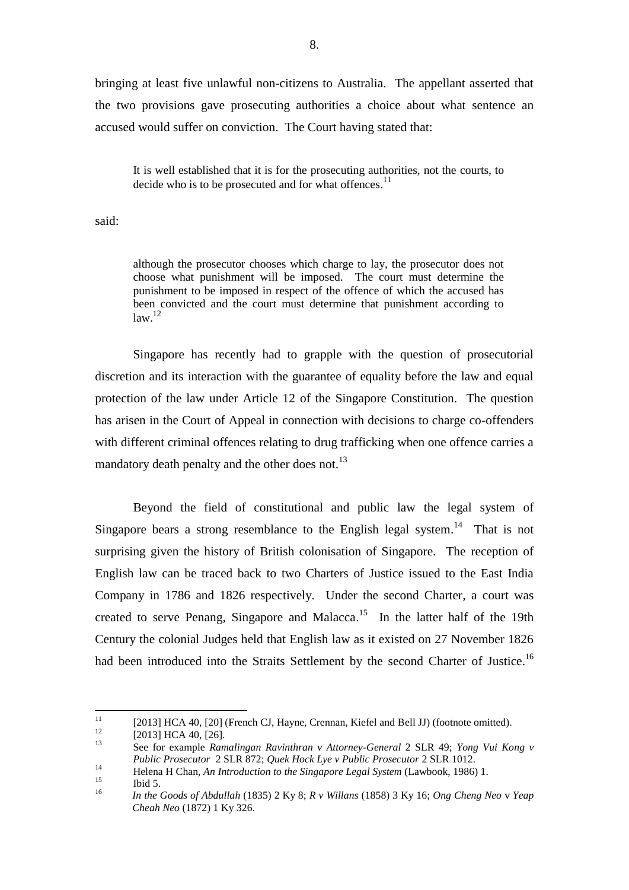bringing at least five unlawful non-citizens to Australia. The appellant asserted that the two provisions gave prosecuting authorities a choice about what sentence an accused would suffer on conviction. The Court having stated that:

It is well established that it is for the prosecuting authorities, not the courts, to decide who is to be prosecuted and for what offences.<sup>11</sup>

said:

although the prosecutor chooses which charge to lay, the prosecutor does not choose what punishment will be imposed. The court must determine the punishment to be imposed in respect of the offence of which the accused has been convicted and the court must determine that punishment according to  $law<sup>12</sup>$ 

Singapore has recently had to grapple with the question of prosecutorial discretion and its interaction with the guarantee of equality before the law and equal protection of the law under Article 12 of the Singapore Constitution. The question has arisen in the Court of Appeal in connection with decisions to charge co-offenders with different criminal offences relating to drug trafficking when one offence carries a mandatory death penalty and the other does not. $^{13}$ 

Beyond the field of constitutional and public law the legal system of Singapore bears a strong resemblance to the English legal system.<sup>14</sup> That is not surprising given the history of British colonisation of Singapore. The reception of English law can be traced back to two Charters of Justice issued to the East India Company in 1786 and 1826 respectively. Under the second Charter, a court was created to serve Penang, Singapore and Malacca.<sup>15</sup> In the latter half of the 19th Century the colonial Judges held that English law as it existed on 27 November 1826 had been introduced into the Straits Settlement by the second Charter of Justice.<sup>16</sup>

 $11$ <sup>11</sup> [2013] HCA 40, [20] (French CJ, Hayne, Crennan, Kiefel and Bell JJ) (footnote omitted).

 $^{12}$  [2013] HCA 40, [26].

<sup>13</sup> See for example *Ramalingan Ravinthran v Attorney-General* 2 SLR 49; *Yong Vui Kong v Public Prosecutor* 2 SLR 872; *Quek Hock Lye v Public Prosecutor* 2 SLR 1012*.*

<sup>14</sup> Helena H Chan, *An Introduction to the Singapore Legal System* (Lawbook, 1986) 1.

 $15$  Ibid 5.

<sup>16</sup> *In the Goods of Abdullah* (1835) 2 Ky 8; *R v Willans* (1858) 3 Ky 16; *Ong Cheng Neo* v *Yeap Cheah Neo* (1872) 1 Ky 326.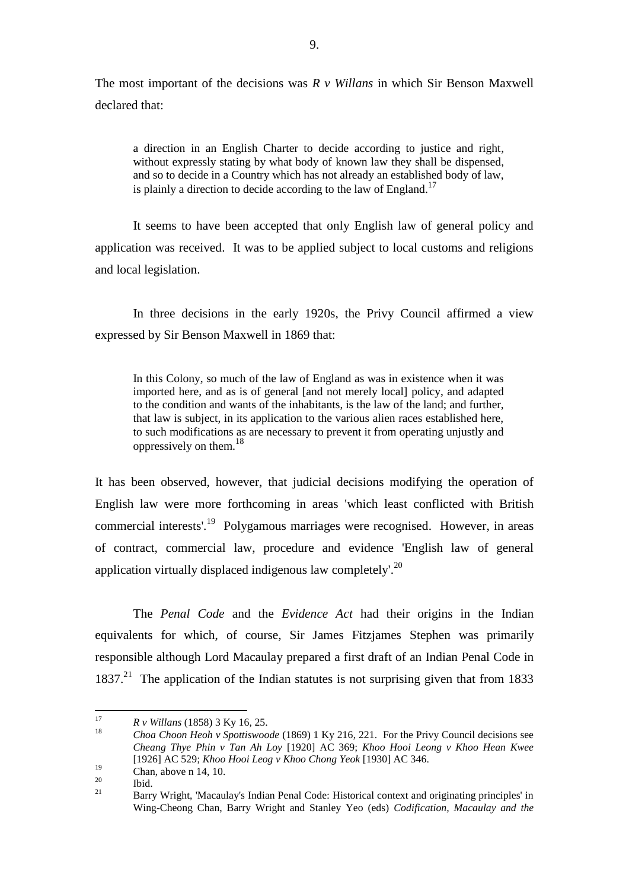The most important of the decisions was *R v Willans* in which Sir Benson Maxwell declared that:

a direction in an English Charter to decide according to justice and right, without expressly stating by what body of known law they shall be dispensed, and so to decide in a Country which has not already an established body of law, is plainly a direction to decide according to the law of England.<sup>17</sup>

It seems to have been accepted that only English law of general policy and application was received. It was to be applied subject to local customs and religions and local legislation.

In three decisions in the early 1920s, the Privy Council affirmed a view expressed by Sir Benson Maxwell in 1869 that:

In this Colony, so much of the law of England as was in existence when it was imported here, and as is of general [and not merely local] policy, and adapted to the condition and wants of the inhabitants, is the law of the land; and further, that law is subject, in its application to the various alien races established here, to such modifications as are necessary to prevent it from operating unjustly and oppressively on them. 18

It has been observed, however, that judicial decisions modifying the operation of English law were more forthcoming in areas 'which least conflicted with British commercial interests'.<sup>19</sup> Polygamous marriages were recognised. However, in areas of contract, commercial law, procedure and evidence 'English law of general application virtually displaced indigenous law completely'.<sup>20</sup>

The *Penal Code* and the *Evidence Act* had their origins in the Indian equivalents for which, of course, Sir James Fitzjames Stephen was primarily responsible although Lord Macaulay prepared a first draft of an Indian Penal Code in 1837.<sup>21</sup> The application of the Indian statutes is not surprising given that from 1833

 $17$ <sup>17</sup> *R v Willans* (1858) 3 Ky 16, 25.

<sup>18</sup> *Choa Choon Heoh v Spottiswoode* (1869) 1 Ky 216, 221. For the Privy Council decisions see *Cheang Thye Phin v Tan Ah Loy* [1920] AC 369; *Khoo Hooi Leong v Khoo Hean Kwee* [1926] AC 529; *Khoo Hooi Leog v Khoo Chong Yeok* [1930] AC 346.

 $\frac{19}{20}$  Chan, above n 14, 10.

 $\frac{20}{21}$  Ibid.

<sup>21</sup> Barry Wright, 'Macaulay's Indian Penal Code: Historical context and originating principles' in Wing-Cheong Chan, Barry Wright and Stanley Yeo (eds) *Codification, Macaulay and the*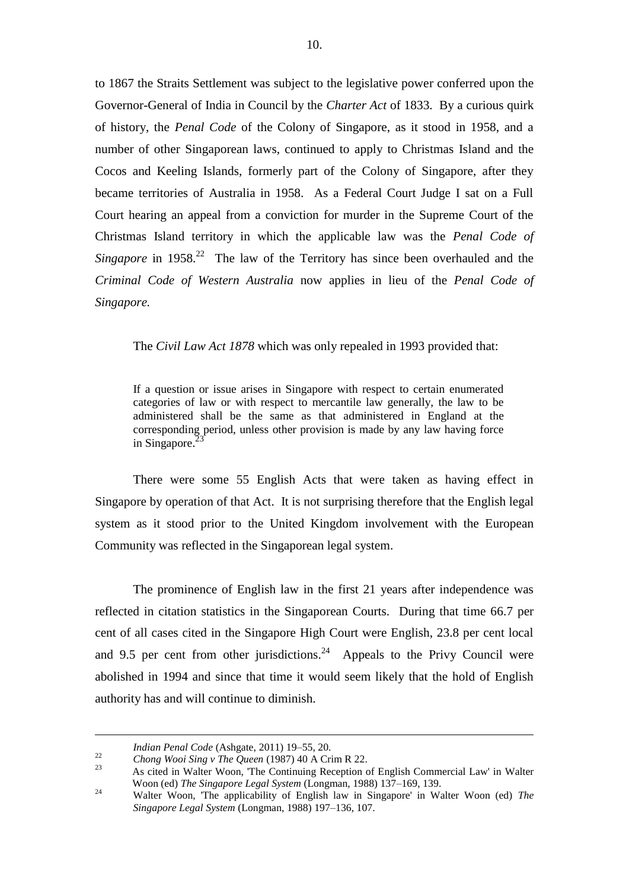to 1867 the Straits Settlement was subject to the legislative power conferred upon the Governor-General of India in Council by the *Charter Act* of 1833. By a curious quirk of history, the *Penal Code* of the Colony of Singapore, as it stood in 1958, and a number of other Singaporean laws, continued to apply to Christmas Island and the Cocos and Keeling Islands, formerly part of the Colony of Singapore, after they became territories of Australia in 1958. As a Federal Court Judge I sat on a Full Court hearing an appeal from a conviction for murder in the Supreme Court of the Christmas Island territory in which the applicable law was the *Penal Code of*  Singapore in  $1958<sup>22</sup>$  The law of the Territory has since been overhauled and the *Criminal Code of Western Australia* now applies in lieu of the *Penal Code of Singapore.*

The *Civil Law Act 1878* which was only repealed in 1993 provided that:

If a question or issue arises in Singapore with respect to certain enumerated categories of law or with respect to mercantile law generally, the law to be administered shall be the same as that administered in England at the corresponding period, unless other provision is made by any law having force in Singapore.<sup>23</sup>

There were some 55 English Acts that were taken as having effect in Singapore by operation of that Act. It is not surprising therefore that the English legal system as it stood prior to the United Kingdom involvement with the European Community was reflected in the Singaporean legal system.

The prominence of English law in the first 21 years after independence was reflected in citation statistics in the Singaporean Courts. During that time 66.7 per cent of all cases cited in the Singapore High Court were English, 23.8 per cent local and 9.5 per cent from other jurisdictions.<sup>24</sup> Appeals to the Privy Council were abolished in 1994 and since that time it would seem likely that the hold of English authority has and will continue to diminish.

1

*Indian Penal Code* (Ashgate, 2011) 19–55, 20.

<sup>22</sup> *Chong Wooi Sing v The Queen* (1987) 40 A Crim R 22.

<sup>23</sup> As cited in Walter Woon, 'The Continuing Reception of English Commercial Law' in Walter Woon (ed) *The Singapore Legal System* (Longman, 1988) 137–169, 139.

<sup>24</sup> Walter Woon, 'The applicability of English law in Singapore' in Walter Woon (ed) *The Singapore Legal System* (Longman, 1988) 197–136, 107.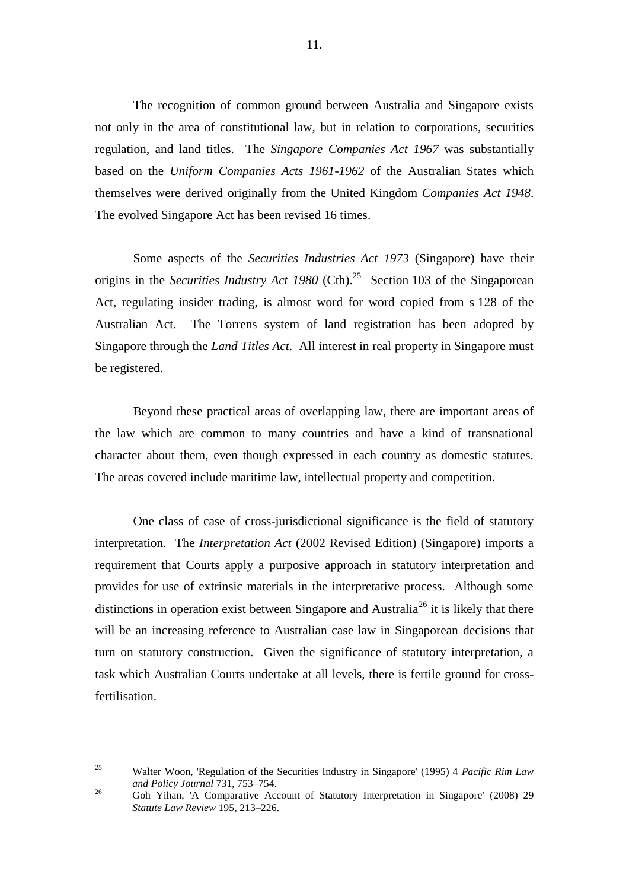The recognition of common ground between Australia and Singapore exists not only in the area of constitutional law, but in relation to corporations, securities regulation, and land titles. The *Singapore Companies Act 1967* was substantially based on the *Uniform Companies Acts 1961-1962* of the Australian States which themselves were derived originally from the United Kingdom *Companies Act 1948*. The evolved Singapore Act has been revised 16 times.

Some aspects of the *Securities Industries Act 1973* (Singapore) have their origins in the *Securities Industry Act 1980* (Cth). 25 Section 103 of the Singaporean Act, regulating insider trading, is almost word for word copied from s 128 of the Australian Act. The Torrens system of land registration has been adopted by Singapore through the *Land Titles Act*. All interest in real property in Singapore must be registered.

Beyond these practical areas of overlapping law, there are important areas of the law which are common to many countries and have a kind of transnational character about them, even though expressed in each country as domestic statutes. The areas covered include maritime law, intellectual property and competition.

One class of case of cross-jurisdictional significance is the field of statutory interpretation. The *Interpretation Act* (2002 Revised Edition) (Singapore) imports a requirement that Courts apply a purposive approach in statutory interpretation and provides for use of extrinsic materials in the interpretative process. Although some distinctions in operation exist between Singapore and Australia<sup>26</sup> it is likely that there will be an increasing reference to Australian case law in Singaporean decisions that turn on statutory construction. Given the significance of statutory interpretation, a task which Australian Courts undertake at all levels, there is fertile ground for crossfertilisation.

<sup>25</sup> <sup>25</sup> Walter Woon, 'Regulation of the Securities Industry in Singapore' (1995) 4 *Pacific Rim Law and Policy Journal* 731, 753–754.

<sup>&</sup>lt;sup>26</sup> Goh Yihan, 'A Comparative Account of Statutory Interpretation in Singapore' (2008) 29 *Statute Law Review* 195, 213–226.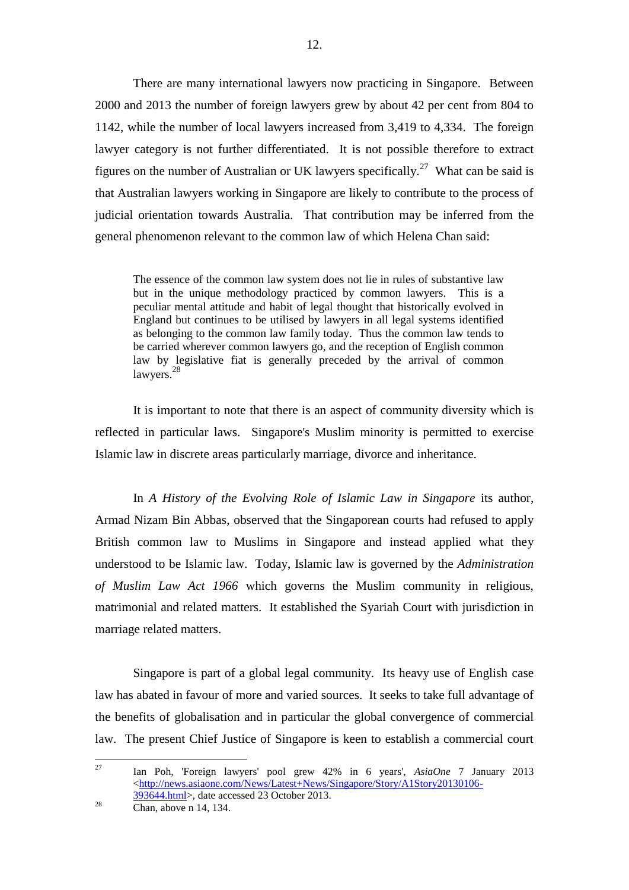There are many international lawyers now practicing in Singapore. Between 2000 and 2013 the number of foreign lawyers grew by about 42 per cent from 804 to 1142, while the number of local lawyers increased from 3,419 to 4,334. The foreign lawyer category is not further differentiated. It is not possible therefore to extract figures on the number of Australian or UK lawyers specifically.<sup>27</sup> What can be said is that Australian lawyers working in Singapore are likely to contribute to the process of judicial orientation towards Australia. That contribution may be inferred from the general phenomenon relevant to the common law of which Helena Chan said:

The essence of the common law system does not lie in rules of substantive law but in the unique methodology practiced by common lawyers. This is a peculiar mental attitude and habit of legal thought that historically evolved in England but continues to be utilised by lawyers in all legal systems identified as belonging to the common law family today. Thus the common law tends to be carried wherever common lawyers go, and the reception of English common law by legislative fiat is generally preceded by the arrival of common lawyers.<sup>28</sup>

It is important to note that there is an aspect of community diversity which is reflected in particular laws.Singapore's Muslim minority is permitted to exercise Islamic law in discrete areas particularly marriage, divorce and inheritance.

In *A History of the Evolving Role of Islamic Law in Singapore* its author, Armad Nizam Bin Abbas, observed that the Singaporean courts had refused to apply British common law to Muslims in Singapore and instead applied what they understood to be Islamic law. Today, Islamic law is governed by the *Administration of Muslim Law Act 1966* which governs the Muslim community in religious, matrimonial and related matters. It established the Syariah Court with jurisdiction in marriage related matters.

Singapore is part of a global legal community. Its heavy use of English case law has abated in favour of more and varied sources. It seeks to take full advantage of the benefits of globalisation and in particular the global convergence of commercial law. The present Chief Justice of Singapore is keen to establish a commercial court

27 <sup>27</sup> Ian Poh, 'Foreign lawyers' pool grew 42% in 6 years', *AsiaOne* 7 January 2013 [<http://news.asiaone.com/News/Latest+News/Singapore/Story/A1Story20130106-](http://news.asiaone.com/News/Latest+News/Singapore/Story/A1Story20130106-393644.html) [393644.html>](http://news.asiaone.com/News/Latest+News/Singapore/Story/A1Story20130106-393644.html), date accessed 23 October 2013.

 $28$  Chan, above n 14, 134.